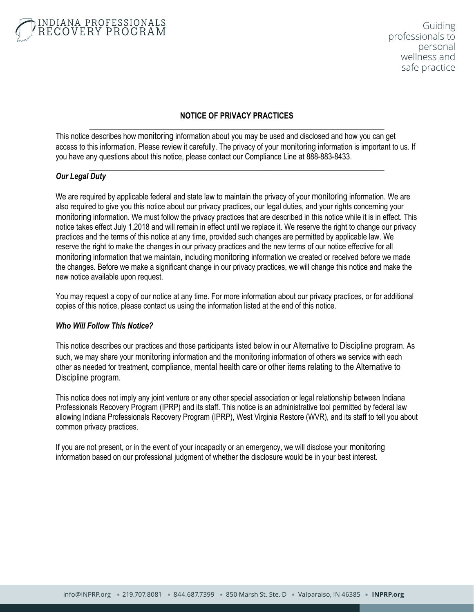### **NOTICE OF PRIVACY PRACTICES** \_\_\_\_\_\_\_\_\_\_\_\_\_\_\_\_\_\_\_\_\_\_\_\_\_\_\_\_\_\_\_\_\_\_\_\_\_\_\_\_\_\_\_\_\_\_\_\_\_\_\_\_\_\_\_\_\_\_\_\_\_\_\_\_\_\_\_\_\_\_\_\_\_\_\_\_

This notice describes how monitoring information about you may be used and disclosed and how you can get access to this information. Please review it carefully. The privacy of your monitoring information is important to us. If you have any questions about this notice, please contact our Compliance Line at 888-883-8433.

\_\_\_\_\_\_\_\_\_\_\_\_\_\_\_\_\_\_\_\_\_\_\_\_\_\_\_\_\_\_\_\_\_\_\_\_\_\_\_\_\_\_\_\_\_\_\_\_\_\_\_\_\_\_\_\_\_\_\_\_\_\_\_\_\_\_\_\_\_\_\_\_\_\_\_\_

## *Our Legal Duty*

We are required by applicable federal and state law to maintain the privacy of your monitoring information. We are also required to give you this notice about our privacy practices, our legal duties, and your rights concerning your monitoring information. We must follow the privacy practices that are described in this notice while it is in effect. This notice takes effect July 1,2018 and will remain in effect until we replace it. We reserve the right to change our privacy practices and the terms of this notice at any time, provided such changes are permitted by applicable law. We reserve the right to make the changes in our privacy practices and the new terms of our notice effective for all monitoring information that we maintain, including monitoring information we created or received before we made the changes. Before we make a significant change in our privacy practices, we will change this notice and make the new notice available upon request.

You may request a copy of our notice at any time. For more information about our privacy practices, or for additional copies of this notice, please contact us using the information listed at the end of this notice.

### *Who Will Follow This Notice?*

This notice describes our practices and those participants listed below in our Alternative to Discipline program. As such, we may share your monitoring information and the monitoring information of others we service with each other as needed for treatment, compliance, mental health care or other items relating to the Alternative to Discipline program.

This notice does not imply any joint venture or any other special association or legal relationship between Indiana Professionals Recovery Program (IPRP) and its staff. This notice is an administrative tool permitted by federal law allowing Indiana Professionals Recovery Program (IPRP), West Virginia Restore (WVR), and its staff to tell you about common privacy practices.

If you are not present, or in the event of your incapacity or an emergency, we will disclose your monitoring information based on our professional judgment of whether the disclosure would be in your best interest.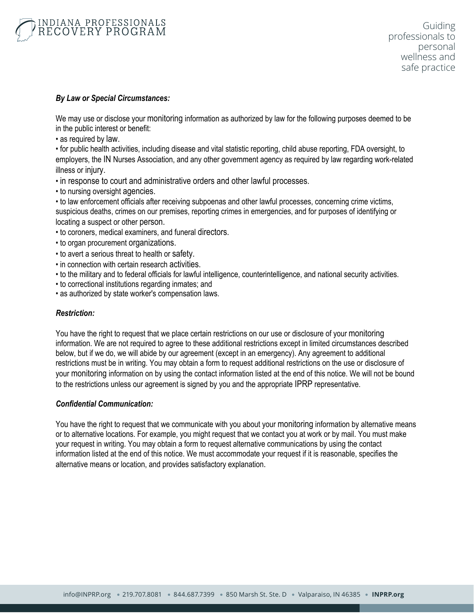

### *By Law or Special Circumstances:*

We may use or disclose your monitoring information as authorized by law for the following purposes deemed to be in the public interest or benefit:

• as required by law.

• for public health activities, including disease and vital statistic reporting, child abuse reporting, FDA oversight, to employers, the IN Nurses Association, and any other government agency as required by law regarding work-related illness or injury.

- in response to court and administrative orders and other lawful processes.
- to nursing oversight agencies.

• to law enforcement officials after receiving subpoenas and other lawful processes, concerning crime victims, suspicious deaths, crimes on our premises, reporting crimes in emergencies, and for purposes of identifying or locating a suspect or other person.

- to coroners, medical examiners, and funeral directors.
- to organ procurement organizations.
- to avert a serious threat to health or safety.
- in connection with certain research activities.
- to the military and to federal officials for lawful intelligence, counterintelligence, and national security activities.
- to correctional institutions regarding inmates; and
- as authorized by state worker's compensation laws.

### *Restriction:*

You have the right to request that we place certain restrictions on our use or disclosure of your monitoring information. We are not required to agree to these additional restrictions except in limited circumstances described below, but if we do, we will abide by our agreement (except in an emergency). Any agreement to additional restrictions must be in writing. You may obtain a form to request additional restrictions on the use or disclosure of your monitoring information on by using the contact information listed at the end of this notice. We will not be bound to the restrictions unless our agreement is signed by you and the appropriate IPRP representative.

### *Confidential Communication:*

You have the right to request that we communicate with you about your monitoring information by alternative means or to alternative locations. For example, you might request that we contact you at work or by mail. You must make your request in writing. You may obtain a form to request alternative communications by using the contact information listed at the end of this notice. We must accommodate your request if it is reasonable, specifies the alternative means or location, and provides satisfactory explanation.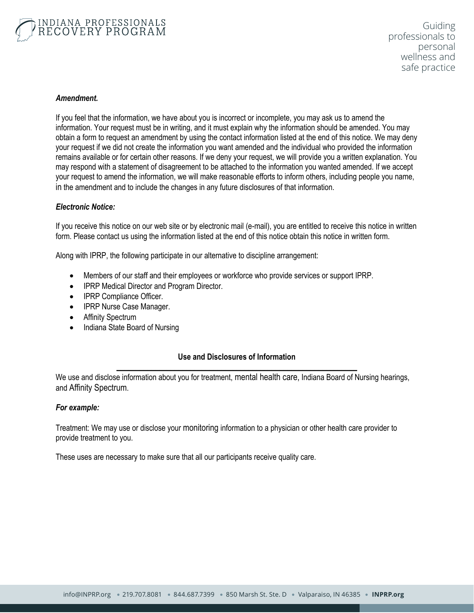

### *Amendment.*

If you feel that the information, we have about you is incorrect or incomplete, you may ask us to amend the information. Your request must be in writing, and it must explain why the information should be amended. You may obtain a form to request an amendment by using the contact information listed at the end of this notice. We may deny your request if we did not create the information you want amended and the individual who provided the information remains available or for certain other reasons. If we deny your request, we will provide you a written explanation. You may respond with a statement of disagreement to be attached to the information you wanted amended. If we accept your request to amend the information, we will make reasonable efforts to inform others, including people you name, in the amendment and to include the changes in any future disclosures of that information.

#### *Electronic Notice:*

If you receive this notice on our web site or by electronic mail (e-mail), you are entitled to receive this notice in written form. Please contact us using the information listed at the end of this notice obtain this notice in written form.

Along with IPRP, the following participate in our alternative to discipline arrangement:

- Members of our staff and their employees or workforce who provide services or support IPRP.
- IPRP Medical Director and Program Director.
- IPRP Compliance Officer.
- IPRP Nurse Case Manager.
- Affinity Spectrum
- Indiana State Board of Nursing

### **Use and Disclosures of Information** \_\_\_\_\_\_\_\_\_\_\_\_\_\_\_\_\_\_\_\_\_\_\_\_\_\_\_\_\_\_\_\_\_\_\_\_\_\_\_\_\_\_\_\_\_\_\_\_\_\_\_\_\_\_\_\_\_\_\_\_\_\_

We use and disclose information about you for treatment, mental health care, Indiana Board of Nursing hearings, and Affinity Spectrum.

#### *For example:*

Treatment: We may use or disclose your monitoring information to a physician or other health care provider to provide treatment to you.

These uses are necessary to make sure that all our participants receive quality care.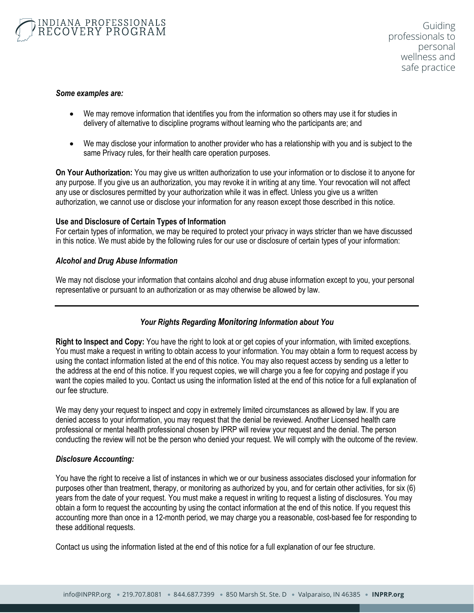#### *Some examples are:*

- We may remove information that identifies you from the information so others may use it for studies in delivery of alternative to discipline programs without learning who the participants are; and
- We may disclose your information to another provider who has a relationship with you and is subject to the same Privacy rules, for their health care operation purposes.

**On Your Authorization:** You may give us written authorization to use your information or to disclose it to anyone for any purpose. If you give us an authorization, you may revoke it in writing at any time. Your revocation will not affect any use or disclosures permitted by your authorization while it was in effect. Unless you give us a written authorization, we cannot use or disclose your information for any reason except those described in this notice.

### **Use and Disclosure of Certain Types of Information**

For certain types of information, we may be required to protect your privacy in ways stricter than we have discussed in this notice. We must abide by the following rules for our use or disclosure of certain types of your information:

### *Alcohol and Drug Abuse Information*

We may not disclose your information that contains alcohol and drug abuse information except to you, your personal representative or pursuant to an authorization or as may otherwise be allowed by law.

### *Your Rights Regarding Monitoring Information about You*

**Right to Inspect and Copy:** You have the right to look at or get copies of your information, with limited exceptions. You must make a request in writing to obtain access to your information. You may obtain a form to request access by using the contact information listed at the end of this notice. You may also request access by sending us a letter to the address at the end of this notice. If you request copies, we will charge you a fee for copying and postage if you want the copies mailed to you. Contact us using the information listed at the end of this notice for a full explanation of our fee structure.

We may deny your request to inspect and copy in extremely limited circumstances as allowed by law. If you are denied access to your information, you may request that the denial be reviewed. Another Licensed health care professional or mental health professional chosen by IPRP will review your request and the denial. The person conducting the review will not be the person who denied your request. We will comply with the outcome of the review.

### *Disclosure Accounting:*

You have the right to receive a list of instances in which we or our business associates disclosed your information for purposes other than treatment, therapy, or monitoring as authorized by you, and for certain other activities, for six (6) years from the date of your request. You must make a request in writing to request a listing of disclosures. You may obtain a form to request the accounting by using the contact information at the end of this notice. If you request this accounting more than once in a 12-month period, we may charge you a reasonable, cost-based fee for responding to these additional requests.

Contact us using the information listed at the end of this notice for a full explanation of our fee structure.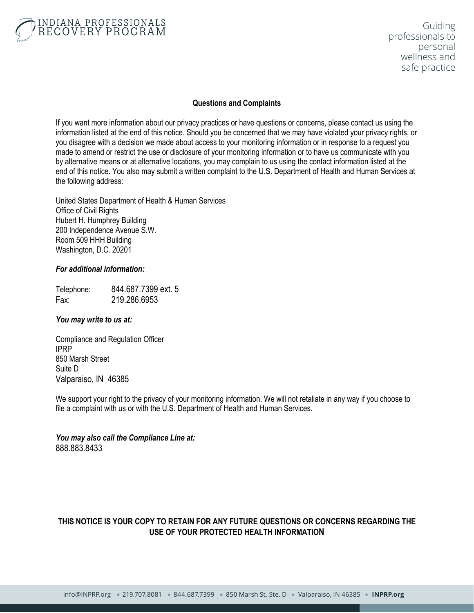

### **Questions and Complaints**

If you want more information about our privacy practices or have questions or concerns, please contact us using the information listed at the end of this notice. Should you be concerned that we may have violated your privacy rights, or you disagree with a decision we made about access to your monitoring information or in response to a request you made to amend or restrict the use or disclosure of your monitoring information or to have us communicate with you by alternative means or at alternative locations, you may complain to us using the contact information listed at the end of this notice. You also may submit a written complaint to the U.S. Department of Health and Human Services at the following address:

United States Department of Health & Human Services Office of Civil Rights Hubert H. Humphrey Building 200 Independence Avenue S.W. Room 509 HHH Building Washington, D.C. 20201

### *For additional information:*

Telephone: 844.687.7399 ext. 5 Fax: 219.286.6953

### *You may write to us at:*

Compliance and Regulation Officer IPRP 850 Marsh Street Suite D Valparaiso, IN 46385

We support your right to the privacy of your monitoring information. We will not retaliate in any way if you choose to file a complaint with us or with the U.S. Department of Health and Human Services.

*You may also call the Compliance Line at:* 888.883.8433

# **THIS NOTICE IS YOUR COPY TO RETAIN FOR ANY FUTURE QUESTIONS OR CONCERNS REGARDING THE USE OF YOUR PROTECTED HEALTH INFORMATION**